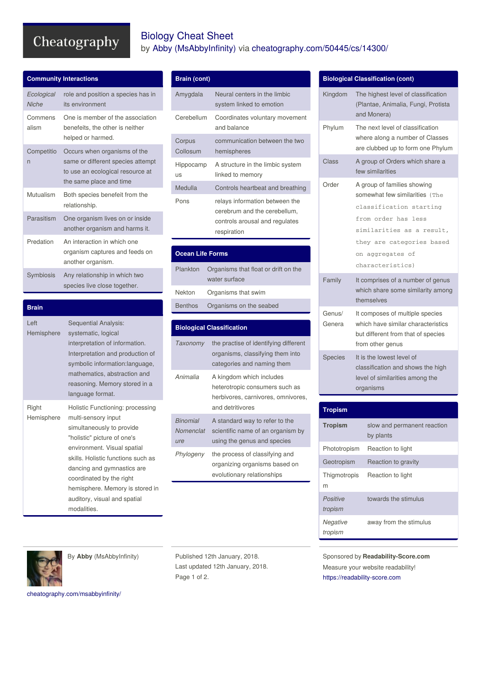# Cheatography

### Biology Cheat Sheet by Abby [\(MsAbbyInfinity\)](http://www.cheatography.com/msabbyinfinity/) via [cheatography.com/50445/cs/14300/](http://www.cheatography.com/msabbyinfinity/cheat-sheets/biology)

| <b>Community Interactions</b> |                                                                                                                                  |
|-------------------------------|----------------------------------------------------------------------------------------------------------------------------------|
| Ecological<br><b>Niche</b>    | role and position a species has in<br>its environment                                                                            |
| Commens<br>alism              | One is member of the association<br>benefeits, the other is neither<br>helped or harmed.                                         |
| Competitio<br>n               | Occurs when organisms of the<br>same or different species attempt<br>to use an ecological resource at<br>the same place and time |
| Mutualism                     | Both species benefeit from the<br>relationship.                                                                                  |
| Parasitism                    | One organism lives on or inside<br>another organism and harms it.                                                                |
| Predation                     | An interaction in which one<br>organism captures and feeds on<br>another organism.                                               |
| Symbiosis                     | Any relationship in which two<br>species live close together.                                                                    |

| <b>Brain</b>          |                                                                                                                                                                                                                                                                                                                                      |
|-----------------------|--------------------------------------------------------------------------------------------------------------------------------------------------------------------------------------------------------------------------------------------------------------------------------------------------------------------------------------|
| $l$ eft<br>Hemisphere | Sequential Analysis:<br>systematic, logical<br>interpretation of information.<br>Interpretation and production of<br>symbolic information:language,<br>mathematics, abstraction and<br>reasoning. Memory stored in a<br>language format.                                                                                             |
| Right<br>Hemisphere   | Holistic Functioning: processing<br>multi-sensory input<br>simultaneously to provide<br>"holistic" picture of one's<br>environment. Visual spatial<br>skills. Holistic functions such as<br>dancing and gymnastics are<br>coordinated by the right<br>hemisphere. Memory is stored in<br>auditory, visual and spatial<br>modalities. |

## **Brain (cont)**

| Amygdala           | Neural centers in the limbic<br>system linked to emotion                                                        |
|--------------------|-----------------------------------------------------------------------------------------------------------------|
| Cerebellum         | Coordinates voluntary movement<br>and balance                                                                   |
| Corpus<br>Collosum | communication between the two<br>hemispheres                                                                    |
| Hippocamp<br>US    | A structure in the limbic system<br>linked to memory                                                            |
| Medulla            | Controls heartbeat and breathing                                                                                |
| Pons               | relays information between the<br>cerebrum and the cerebellum,<br>controls arousal and regulates<br>respiration |

## **Ocean Life Forms**

| Plankton | Organisms that float or drift on the<br>water surface |
|----------|-------------------------------------------------------|
| Nekton   | Organisms that swim                                   |
|          | Benthos Organisms on the seabed                       |

#### **Biological Classification** *Taxonomy* the practise of identifying different organisms, classifying them into categories and naming them *Animalia* A kingdom which includes heterotropic consumers such as herbivores, carnivores, omnivores, and detritivores *Binomial Nomenclat ure* A standard way to refer to the scientific name of an organism by using the genus and species *Phylogeny* the process of classifying and organizing organisms based on evolutionary relationships

#### **Biological Classification (cont)** Kingdom The highest level of classification (Plantae, Animalia, Fungi, Protista and Monera) Phylum The next level of classification where along a number of Classes are clubbed up to form one Phylum Class A group of Orders which share a few similarities Order A group of families showing somewhat few similarities (The classification starting from order has less similarities as a result, they are categories based on aggregates of characteristics) Family It comprises of a number of genus which share some similarity among themselves Genus/ Genera It composes of multiple species which have similar characteristics but different from that of species from other genus Species It is the lowest level of classification and shows the high level of similarities among the organisms

| <b>Tropism</b>      |                                          |
|---------------------|------------------------------------------|
| <b>Tropism</b>      | slow and permanent reaction<br>by plants |
| Phototropism        | Reaction to light                        |
| Geotropism          | Reaction to gravity                      |
| Thigmotropis<br>m   | Reaction to light                        |
| Positive<br>tropism | towards the stimulus                     |
| Negative<br>tropism | away from the stimulus                   |



By **Abby** (MsAbbyInfinity)

Published 12th January, 2018. Last updated 12th January, 2018. Page 1 of 2.

Sponsored by **Readability-Score.com** Measure your website readability! <https://readability-score.com>

[cheatography.com/msabbyinfinity/](http://www.cheatography.com/msabbyinfinity/)